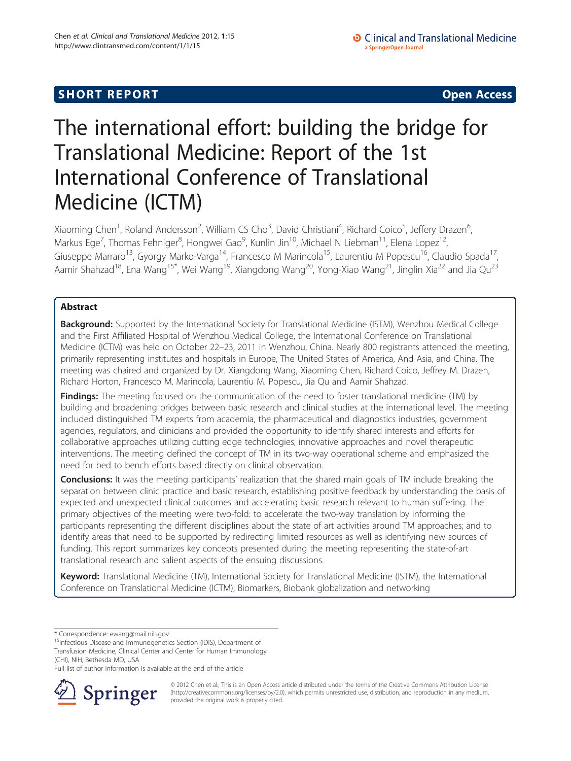# **SHORT REPORT CONTRACT CONTRACT CONTRACT CONTRACT CONTRACT CONTRACT CONTRACT CONTRACT CONTRACT CONTRACT CONTRACT CONTRACT CONTRACT CONTRACT CONTRACT CONTRACT CONTRACT CONTRACT CONTRACT CONTRACT CONTRACT CONTRACT CONTRACT C**

# The international effort: building the bridge for Translational Medicine: Report of the 1st International Conference of Translational Medicine (ICTM)

Xiaoming Chen<sup>1</sup>, Roland Andersson<sup>2</sup>, William CS Cho<sup>3</sup>, David Christiani<sup>4</sup>, Richard Coico<sup>5</sup>, Jeffery Drazen<sup>6</sup> , Markus Ege<sup>7</sup>, Thomas Fehniger<sup>8</sup>, Hongwei Gao<sup>9</sup>, Kunlin Jin<sup>10</sup>, Michael N Liebman<sup>11</sup>, Elena Lopez<sup>12</sup>, Giuseppe Marraro<sup>13</sup>, Gyorgy Marko-Varga<sup>14</sup>, Francesco M Marincola<sup>15</sup>, Laurentiu M Popescu<sup>16</sup>, Claudio Spada<sup>17</sup>, Aamir Shahzad<sup>18</sup>, Ena Wang<sup>15\*</sup>, Wei Wang<sup>19</sup>, Xiangdong Wang<sup>20</sup>, Yong-Xiao Wang<sup>21</sup>, Jinglin Xia<sup>22</sup> and Jia Qu<sup>23</sup>

# Abstract

Background: Supported by the International Society for Translational Medicine (ISTM), Wenzhou Medical College and the First Affiliated Hospital of Wenzhou Medical College, the International Conference on Translational Medicine (ICTM) was held on October 22–23, 2011 in Wenzhou, China. Nearly 800 registrants attended the meeting, primarily representing institutes and hospitals in Europe, The United States of America, And Asia, and China. The meeting was chaired and organized by Dr. Xiangdong Wang, Xiaoming Chen, Richard Coico, Jeffrey M. Drazen, Richard Horton, Francesco M. Marincola, Laurentiu M. Popescu, Jia Qu and Aamir Shahzad.

**Findings:** The meeting focused on the communication of the need to foster translational medicine (TM) by building and broadening bridges between basic research and clinical studies at the international level. The meeting included distinguished TM experts from academia, the pharmaceutical and diagnostics industries, government agencies, regulators, and clinicians and provided the opportunity to identify shared interests and efforts for collaborative approaches utilizing cutting edge technologies, innovative approaches and novel therapeutic interventions. The meeting defined the concept of TM in its two-way operational scheme and emphasized the need for bed to bench efforts based directly on clinical observation.

Conclusions: It was the meeting participants' realization that the shared main goals of TM include breaking the separation between clinic practice and basic research, establishing positive feedback by understanding the basis of expected and unexpected clinical outcomes and accelerating basic research relevant to human suffering. The primary objectives of the meeting were two-fold: to accelerate the two-way translation by informing the participants representing the different disciplines about the state of art activities around TM approaches; and to identify areas that need to be supported by redirecting limited resources as well as identifying new sources of funding. This report summarizes key concepts presented during the meeting representing the state-of-art translational research and salient aspects of the ensuing discussions.

Keyword: Translational Medicine (TM), International Society for Translational Medicine (ISTM), the International Conference on Translational Medicine (ICTM), Biomarkers, Biobank globalization and networking

\* Correspondence: [ewang@mail.nih.gov](mailto:ewang@mail.nih.gov) 15Infectious Disease and Immunogenetics Section (IDIS), Department of Transfusion Medicine, Clinical Center and Center for Human Immunology (CHI), NIH, Bethesda MD, USA

Full list of author information is available at the end of the article



© 2012 Chen et al.; This is an Open Access article distributed under the terms of the Creative Commons Attribution License (<http://creativecommons.org/licenses/by/2.0>), which permits unrestricted use, distribution, and reproduction in any medium, provided the original work is properly cited.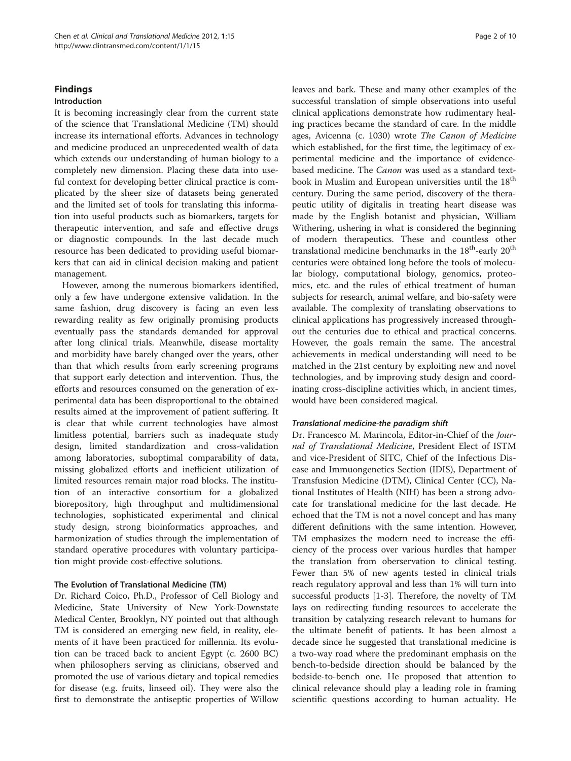#### Findings

#### Introduction

It is becoming increasingly clear from the current state of the science that Translational Medicine (TM) should increase its international efforts. Advances in technology and medicine produced an unprecedented wealth of data which extends our understanding of human biology to a completely new dimension. Placing these data into useful context for developing better clinical practice is complicated by the sheer size of datasets being generated and the limited set of tools for translating this information into useful products such as biomarkers, targets for therapeutic intervention, and safe and effective drugs or diagnostic compounds. In the last decade much resource has been dedicated to providing useful biomarkers that can aid in clinical decision making and patient management.

However, among the numerous biomarkers identified, only a few have undergone extensive validation. In the same fashion, drug discovery is facing an even less rewarding reality as few originally promising products eventually pass the standards demanded for approval after long clinical trials. Meanwhile, disease mortality and morbidity have barely changed over the years, other than that which results from early screening programs that support early detection and intervention. Thus, the efforts and resources consumed on the generation of experimental data has been disproportional to the obtained results aimed at the improvement of patient suffering. It is clear that while current technologies have almost limitless potential, barriers such as inadequate study design, limited standardization and cross-validation among laboratories, suboptimal comparability of data, missing globalized efforts and inefficient utilization of limited resources remain major road blocks. The institution of an interactive consortium for a globalized biorepository, high throughput and multidimensional technologies, sophisticated experimental and clinical study design, strong bioinformatics approaches, and harmonization of studies through the implementation of standard operative procedures with voluntary participation might provide cost-effective solutions.

#### The Evolution of Translational Medicine (TM)

Dr. Richard Coico, Ph.D., Professor of Cell Biology and Medicine, State University of New York-Downstate Medical Center, Brooklyn, NY pointed out that although TM is considered an emerging new field, in reality, elements of it have been practiced for millennia. Its evolution can be traced back to ancient Egypt (c. 2600 BC) when philosophers serving as clinicians, observed and promoted the use of various dietary and topical remedies for disease (e.g. fruits, linseed oil). They were also the first to demonstrate the antiseptic properties of Willow leaves and bark. These and many other examples of the successful translation of simple observations into useful clinical applications demonstrate how rudimentary healing practices became the standard of care. In the middle ages, Avicenna (c. 1030) wrote The Canon of Medicine which established, for the first time, the legitimacy of experimental medicine and the importance of evidencebased medicine. The Canon was used as a standard textbook in Muslim and European universities until the 18<sup>th</sup> century. During the same period, discovery of the therapeutic utility of digitalis in treating heart disease was made by the English botanist and physician, William Withering, ushering in what is considered the beginning of modern therapeutics. These and countless other translational medicine benchmarks in the  $18<sup>th</sup>$ -early  $20<sup>th</sup>$ centuries were obtained long before the tools of molecular biology, computational biology, genomics, proteomics, etc. and the rules of ethical treatment of human subjects for research, animal welfare, and bio-safety were available. The complexity of translating observations to clinical applications has progressively increased throughout the centuries due to ethical and practical concerns. However, the goals remain the same. The ancestral achievements in medical understanding will need to be matched in the 21st century by exploiting new and novel technologies, and by improving study design and coordinating cross-discipline activities which, in ancient times, would have been considered magical.

#### Translational medicine-the paradigm shift

Dr. Francesco M. Marincola, Editor-in-Chief of the Journal of Translational Medicine, President Elect of ISTM and vice-President of SITC, Chief of the Infectious Disease and Immuongenetics Section (IDIS), Department of Transfusion Medicine (DTM), Clinical Center (CC), National Institutes of Health (NIH) has been a strong advocate for translational medicine for the last decade. He echoed that the TM is not a novel concept and has many different definitions with the same intention. However, TM emphasizes the modern need to increase the efficiency of the process over various hurdles that hamper the translation from oberservation to clinical testing. Fewer than 5% of new agents tested in clinical trials reach regulatory approval and less than 1% will turn into successful products [\[1](#page-9-0)-[3\]](#page-9-0). Therefore, the novelty of TM lays on redirecting funding resources to accelerate the transition by catalyzing research relevant to humans for the ultimate benefit of patients. It has been almost a decade since he suggested that translational medicine is a two-way road where the predominant emphasis on the bench-to-bedside direction should be balanced by the bedside-to-bench one. He proposed that attention to clinical relevance should play a leading role in framing scientific questions according to human actuality. He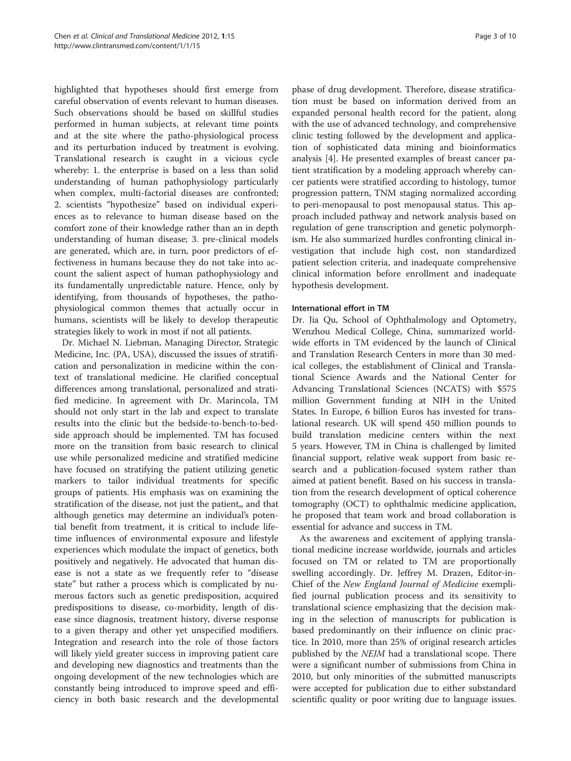highlighted that hypotheses should first emerge from careful observation of events relevant to human diseases. Such observations should be based on skillful studies performed in human subjects, at relevant time points and at the site where the patho-physiological process and its perturbation induced by treatment is evolving. Translational research is caught in a vicious cycle whereby: 1. the enterprise is based on a less than solid understanding of human pathophysiology particularly when complex, multi-factorial diseases are confronted; 2. scientists "hypothesize" based on individual experiences as to relevance to human disease based on the comfort zone of their knowledge rather than an in depth understanding of human disease; 3. pre-clinical models are generated, which are, in turn, poor predictors of effectiveness in humans because they do not take into account the salient aspect of human pathophysiology and its fundamentally unpredictable nature. Hence, only by identifying, from thousands of hypotheses, the pathophysiological common themes that actually occur in humans, scientists will be likely to develop therapeutic strategies likely to work in most if not all patients.

Dr. Michael N. Liebman, Managing Director, Strategic Medicine, Inc. (PA, USA), discussed the issues of stratification and personalization in medicine within the context of translational medicine. He clarified conceptual differences among translational, personalized and stratified medicine. In agreement with Dr. Marincola, TM should not only start in the lab and expect to translate results into the clinic but the bedside-to-bench-to-bedside approach should be implemented. TM has focused more on the transition from basic research to clinical use while personalized medicine and stratified medicine have focused on stratifying the patient utilizing genetic markers to tailor individual treatments for specific groups of patients. His emphasis was on examining the stratification of the disease, not just the patient,, and that although genetics may determine an individual's potential benefit from treatment, it is critical to include lifetime influences of environmental exposure and lifestyle experiences which modulate the impact of genetics, both positively and negatively. He advocated that human disease is not a state as we frequently refer to "disease state" but rather a process which is complicated by numerous factors such as genetic predisposition, acquired predispositions to disease, co-morbidity, length of disease since diagnosis, treatment history, diverse response to a given therapy and other yet unspecified modifiers. Integration and research into the role of those factors will likely yield greater success in improving patient care and developing new diagnostics and treatments than the ongoing development of the new technologies which are constantly being introduced to improve speed and efficiency in both basic research and the developmental

phase of drug development. Therefore, disease stratification must be based on information derived from an expanded personal health record for the patient, along with the use of advanced technology, and comprehensive clinic testing followed by the development and application of sophisticated data mining and bioinformatics analysis [[4](#page-9-0)]. He presented examples of breast cancer patient stratification by a modeling approach whereby cancer patients were stratified according to histology, tumor progression pattern, TNM staging normalized according to peri-menopausal to post menopausal status. This approach included pathway and network analysis based on regulation of gene transcription and genetic polymorphism. He also summarized hurdles confronting clinical investigation that include high cost, non standardized patient selection criteria, and inadequate comprehensive clinical information before enrollment and inadequate hypothesis development.

# International effort in TM

Dr. Jia Qu, School of Ophthalmology and Optometry, Wenzhou Medical College, China, summarized worldwide efforts in TM evidenced by the launch of Clinical and Translation Research Centers in more than 30 medical colleges, the establishment of Clinical and Translational Science Awards and the National Center for Advancing Translational Sciences (NCATS) with \$575 million Government funding at NIH in the United States. In Europe, 6 billion Euros has invested for translational research. UK will spend 450 million pounds to build translation medicine centers within the next 5 years. However, TM in China is challenged by limited financial support, relative weak support from basic research and a publication-focused system rather than aimed at patient benefit. Based on his success in translation from the research development of optical coherence tomography (OCT) to ophthalmic medicine application, he proposed that team work and broad collaboration is essential for advance and success in TM.

As the awareness and excitement of applying translational medicine increase worldwide, journals and articles focused on TM or related to TM are proportionally swelling accordingly. Dr. Jeffrey M. Drazen, Editor-in-Chief of the New England Journal of Medicine exemplified journal publication process and its sensitivity to translational science emphasizing that the decision making in the selection of manuscripts for publication is based predominantly on their influence on clinic practice. In 2010, more than 25% of original research articles published by the *NEJM* had a translational scope. There were a significant number of submissions from China in 2010, but only minorities of the submitted manuscripts were accepted for publication due to either substandard scientific quality or poor writing due to language issues.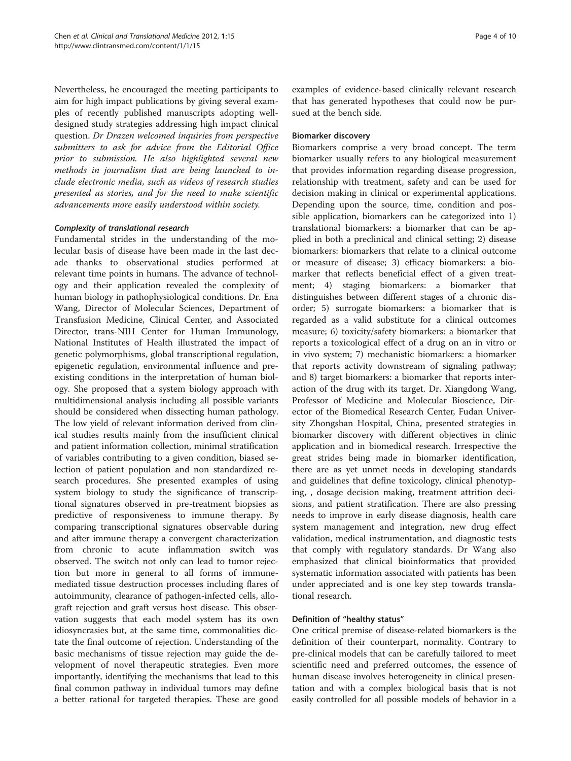Nevertheless, he encouraged the meeting participants to aim for high impact publications by giving several examples of recently published manuscripts adopting welldesigned study strategies addressing high impact clinical question. Dr Drazen welcomed inquiries from perspective submitters to ask for advice from the Editorial Office prior to submission. He also highlighted several new methods in journalism that are being launched to include electronic media, such as videos of research studies presented as stories, and for the need to make scientific advancements more easily understood within society.

# Complexity of translational research

Fundamental strides in the understanding of the molecular basis of disease have been made in the last decade thanks to observational studies performed at relevant time points in humans. The advance of technology and their application revealed the complexity of human biology in pathophysiological conditions. Dr. Ena Wang, Director of Molecular Sciences, Department of Transfusion Medicine, Clinical Center, and Associated Director, trans-NIH Center for Human Immunology, National Institutes of Health illustrated the impact of genetic polymorphisms, global transcriptional regulation, epigenetic regulation, environmental influence and preexisting conditions in the interpretation of human biology. She proposed that a system biology approach with multidimensional analysis including all possible variants should be considered when dissecting human pathology. The low yield of relevant information derived from clinical studies results mainly from the insufficient clinical and patient information collection, minimal stratification of variables contributing to a given condition, biased selection of patient population and non standardized research procedures. She presented examples of using system biology to study the significance of transcriptional signatures observed in pre-treatment biopsies as predictive of responsiveness to immune therapy. By comparing transcriptional signatures observable during and after immune therapy a convergent characterization from chronic to acute inflammation switch was observed. The switch not only can lead to tumor rejection but more in general to all forms of immunemediated tissue destruction processes including flares of autoimmunity, clearance of pathogen-infected cells, allograft rejection and graft versus host disease. This observation suggests that each model system has its own idiosyncrasies but, at the same time, commonalities dictate the final outcome of rejection. Understanding of the basic mechanisms of tissue rejection may guide the development of novel therapeutic strategies. Even more importantly, identifying the mechanisms that lead to this final common pathway in individual tumors may define a better rational for targeted therapies. These are good

examples of evidence-based clinically relevant research that has generated hypotheses that could now be pursued at the bench side.

#### Biomarker discovery

Biomarkers comprise a very broad concept. The term biomarker usually refers to any biological measurement that provides information regarding disease progression, relationship with treatment, safety and can be used for decision making in clinical or experimental applications. Depending upon the source, time, condition and possible application, biomarkers can be categorized into 1) translational biomarkers: a biomarker that can be applied in both a preclinical and clinical setting; 2) disease biomarkers: biomarkers that relate to a clinical outcome or measure of disease; 3) efficacy biomarkers: a biomarker that reflects beneficial effect of a given treatment; 4) staging biomarkers: a biomarker that distinguishes between different stages of a chronic disorder; 5) surrogate biomarkers: a biomarker that is regarded as a valid substitute for a clinical outcomes measure; 6) toxicity/safety biomarkers: a biomarker that reports a toxicological effect of a drug on an in vitro or in vivo system; 7) mechanistic biomarkers: a biomarker that reports activity downstream of signaling pathway; and 8) target biomarkers: a biomarker that reports interaction of the drug with its target. Dr. Xiangdong Wang, Professor of Medicine and Molecular Bioscience, Director of the Biomedical Research Center, Fudan University Zhongshan Hospital, China, presented strategies in biomarker discovery with different objectives in clinic application and in biomedical research. Irrespective the great strides being made in biomarker identification, there are as yet unmet needs in developing standards and guidelines that define toxicology, clinical phenotyping, , dosage decision making, treatment attrition decisions, and patient stratification. There are also pressing needs to improve in early disease diagnosis, health care system management and integration, new drug effect validation, medical instrumentation, and diagnostic tests that comply with regulatory standards. Dr Wang also emphasized that clinical bioinformatics that provided systematic information associated with patients has been under appreciated and is one key step towards translational research.

# Definition of "healthy status"

One critical premise of disease-related biomarkers is the definition of their counterpart, normality. Contrary to pre-clinical models that can be carefully tailored to meet scientific need and preferred outcomes, the essence of human disease involves heterogeneity in clinical presentation and with a complex biological basis that is not easily controlled for all possible models of behavior in a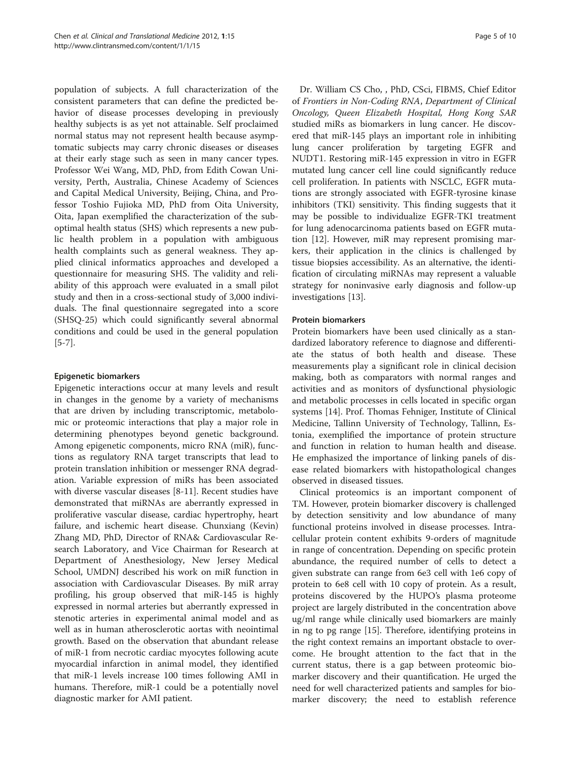population of subjects. A full characterization of the consistent parameters that can define the predicted behavior of disease processes developing in previously healthy subjects is as yet not attainable. Self proclaimed normal status may not represent health because asymptomatic subjects may carry chronic diseases or diseases at their early stage such as seen in many cancer types. Professor Wei Wang, MD, PhD, from Edith Cowan University, Perth, Australia, Chinese Academy of Sciences and Capital Medical University, Beijing, China, and Professor Toshio Fujioka MD, PhD from Oita University, Oita, Japan exemplified the characterization of the suboptimal health status (SHS) which represents a new public health problem in a population with ambiguous health complaints such as general weakness. They applied clinical informatics approaches and developed a questionnaire for measuring SHS. The validity and reliability of this approach were evaluated in a small pilot study and then in a cross-sectional study of 3,000 individuals. The final questionnaire segregated into a score (SHSQ-25) which could significantly several abnormal conditions and could be used in the general population [[5-7](#page-9-0)].

# Epigenetic biomarkers

Epigenetic interactions occur at many levels and result in changes in the genome by a variety of mechanisms that are driven by including transcriptomic, metabolomic or proteomic interactions that play a major role in determining phenotypes beyond genetic background. Among epigenetic components, micro RNA (miR), functions as regulatory RNA target transcripts that lead to protein translation inhibition or messenger RNA degradation. Variable expression of miRs has been associated with diverse vascular diseases [[8](#page-9-0)-[11\]](#page-9-0). Recent studies have demonstrated that miRNAs are aberrantly expressed in proliferative vascular disease, cardiac hypertrophy, heart failure, and ischemic heart disease. Chunxiang (Kevin) Zhang MD, PhD, Director of RNA& Cardiovascular Research Laboratory, and Vice Chairman for Research at Department of Anesthesiology, New Jersey Medical School, UMDNJ described his work on miR function in association with Cardiovascular Diseases. By miR array profiling, his group observed that miR-145 is highly expressed in normal arteries but aberrantly expressed in stenotic arteries in experimental animal model and as well as in human atherosclerotic aortas with neointimal growth. Based on the observation that abundant release of miR-1 from necrotic cardiac myocytes following acute myocardial infarction in animal model, they identified that miR-1 levels increase 100 times following AMI in humans. Therefore, miR-1 could be a potentially novel diagnostic marker for AMI patient.

Dr. William CS Cho, , PhD, CSci, FIBMS, Chief Editor of Frontiers in Non-Coding RNA, Department of Clinical Oncology, Queen Elizabeth Hospital, Hong Kong SAR studied miRs as biomarkers in lung cancer. He discovered that miR-145 plays an important role in inhibiting lung cancer proliferation by targeting EGFR and NUDT1. Restoring miR-145 expression in vitro in EGFR mutated lung cancer cell line could significantly reduce cell proliferation. In patients with NSCLC, EGFR mutations are strongly associated with EGFR-tyrosine kinase inhibitors (TKI) sensitivity. This finding suggests that it may be possible to individualize EGFR-TKI treatment for lung adenocarcinoma patients based on EGFR mutation [\[12](#page-9-0)]. However, miR may represent promising markers, their application in the clinics is challenged by tissue biopsies accessibility. As an alternative, the identification of circulating miRNAs may represent a valuable strategy for noninvasive early diagnosis and follow-up investigations [\[13](#page-9-0)].

# Protein biomarkers

Protein biomarkers have been used clinically as a standardized laboratory reference to diagnose and differentiate the status of both health and disease. These measurements play a significant role in clinical decision making, both as comparators with normal ranges and activities and as monitors of dysfunctional physiologic and metabolic processes in cells located in specific organ systems [\[14](#page-9-0)]. Prof. Thomas Fehniger, Institute of Clinical Medicine, Tallinn University of Technology, Tallinn, Estonia, exemplified the importance of protein structure and function in relation to human health and disease. He emphasized the importance of linking panels of disease related biomarkers with histopathological changes observed in diseased tissues.

Clinical proteomics is an important component of TM. However, protein biomarker discovery is challenged by detection sensitivity and low abundance of many functional proteins involved in disease processes. Intracellular protein content exhibits 9-orders of magnitude in range of concentration. Depending on specific protein abundance, the required number of cells to detect a given substrate can range from 6e3 cell with 1e6 copy of protein to 6e8 cell with 10 copy of protein. As a result, proteins discovered by the HUPO's plasma proteome project are largely distributed in the concentration above ug/ml range while clinically used biomarkers are mainly in ng to pg range [\[15](#page-9-0)]. Therefore, identifying proteins in the right context remains an important obstacle to overcome. He brought attention to the fact that in the current status, there is a gap between proteomic biomarker discovery and their quantification. He urged the need for well characterized patients and samples for biomarker discovery; the need to establish reference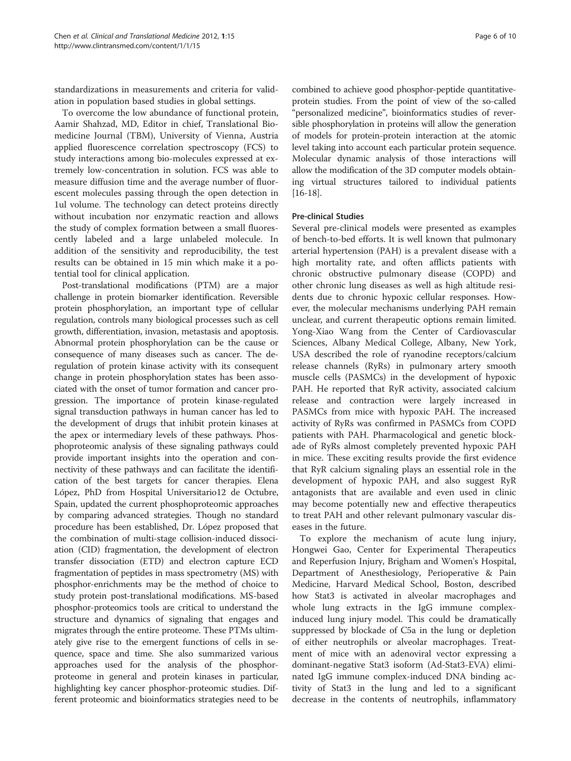standardizations in measurements and criteria for validation in population based studies in global settings.

To overcome the low abundance of functional protein, Aamir Shahzad, MD, Editor in chief, Translational Biomedicine Journal (TBM), University of Vienna, Austria applied fluorescence correlation spectroscopy (FCS) to study interactions among bio-molecules expressed at extremely low-concentration in solution. FCS was able to measure diffusion time and the average number of fluorescent molecules passing through the open detection in 1ul volume. The technology can detect proteins directly without incubation nor enzymatic reaction and allows the study of complex formation between a small fluorescently labeled and a large unlabeled molecule. In addition of the sensitivity and reproducibility, the test results can be obtained in 15 min which make it a potential tool for clinical application.

Post-translational modifications (PTM) are a major challenge in protein biomarker identification. Reversible protein phosphorylation, an important type of cellular regulation, controls many biological processes such as cell growth, differentiation, invasion, metastasis and apoptosis. Abnormal protein phosphorylation can be the cause or consequence of many diseases such as cancer. The deregulation of protein kinase activity with its consequent change in protein phosphorylation states has been associated with the onset of tumor formation and cancer progression. The importance of protein kinase-regulated signal transduction pathways in human cancer has led to the development of drugs that inhibit protein kinases at the apex or intermediary levels of these pathways. Phosphoproteomic analysis of these signaling pathways could provide important insights into the operation and connectivity of these pathways and can facilitate the identification of the best targets for cancer therapies. Elena López, PhD from Hospital Universitario12 de Octubre, Spain, updated the current phosphoproteomic approaches by comparing advanced strategies. Though no standard procedure has been established, Dr. López proposed that the combination of multi-stage collision-induced dissociation (CID) fragmentation, the development of electron transfer dissociation (ETD) and electron capture ECD fragmentation of peptides in mass spectrometry (MS) with phosphor-enrichments may be the method of choice to study protein post-translational modifications. MS-based phosphor-proteomics tools are critical to understand the structure and dynamics of signaling that engages and migrates through the entire proteome. These PTMs ultimately give rise to the emergent functions of cells in sequence, space and time. She also summarized various approaches used for the analysis of the phosphorproteome in general and protein kinases in particular, highlighting key cancer phosphor-proteomic studies. Different proteomic and bioinformatics strategies need to be

combined to achieve good phosphor-peptide quantitativeprotein studies. From the point of view of the so-called "personalized medicine", bioinformatics studies of reversible phosphorylation in proteins will allow the generation of models for protein-protein interaction at the atomic level taking into account each particular protein sequence. Molecular dynamic analysis of those interactions will allow the modification of the 3D computer models obtaining virtual structures tailored to individual patients [[16](#page-9-0)-[18\]](#page-9-0).

#### Pre-clinical Studies

Several pre-clinical models were presented as examples of bench-to-bed efforts. It is well known that pulmonary arterial hypertension (PAH) is a prevalent disease with a high mortality rate, and often afflicts patients with chronic obstructive pulmonary disease (COPD) and other chronic lung diseases as well as high altitude residents due to chronic hypoxic cellular responses. However, the molecular mechanisms underlying PAH remain unclear, and current therapeutic options remain limited. Yong-Xiao Wang from the Center of Cardiovascular Sciences, Albany Medical College, Albany, New York, USA described the role of ryanodine receptors/calcium release channels (RyRs) in pulmonary artery smooth muscle cells (PASMCs) in the development of hypoxic PAH. He reported that RyR activity, associated calcium release and contraction were largely increased in PASMCs from mice with hypoxic PAH. The increased activity of RyRs was confirmed in PASMCs from COPD patients with PAH. Pharmacological and genetic blockade of RyRs almost completely prevented hypoxic PAH in mice. These exciting results provide the first evidence that RyR calcium signaling plays an essential role in the development of hypoxic PAH, and also suggest RyR antagonists that are available and even used in clinic may become potentially new and effective therapeutics to treat PAH and other relevant pulmonary vascular diseases in the future.

To explore the mechanism of acute lung injury, Hongwei Gao, Center for Experimental Therapeutics and Reperfusion Injury, Brigham and Women's Hospital, Department of Anesthesiology, Perioperative & Pain Medicine, Harvard Medical School, Boston, described how Stat3 is activated in alveolar macrophages and whole lung extracts in the IgG immune complexinduced lung injury model. This could be dramatically suppressed by blockade of C5a in the lung or depletion of either neutrophils or alveolar macrophages. Treatment of mice with an adenoviral vector expressing a dominant-negative Stat3 isoform (Ad-Stat3-EVA) eliminated IgG immune complex-induced DNA binding activity of Stat3 in the lung and led to a significant decrease in the contents of neutrophils, inflammatory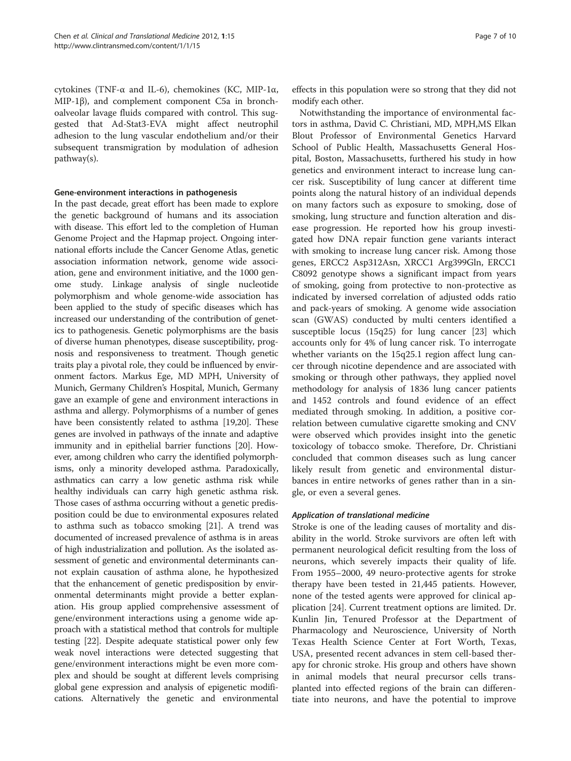cytokines (TNF-α and IL-6), chemokines (KC, MIP-1α, MIP-1β), and complement component C5a in bronchoalveolar lavage fluids compared with control. This suggested that Ad-Stat3-EVA might affect neutrophil adhesion to the lung vascular endothelium and/or their subsequent transmigration by modulation of adhesion pathway(s).

#### Gene-environment interactions in pathogenesis

In the past decade, great effort has been made to explore the genetic background of humans and its association with disease. This effort led to the completion of Human Genome Project and the Hapmap project. Ongoing international efforts include the Cancer Genome Atlas, genetic association information network, genome wide association, gene and environment initiative, and the 1000 genome study. Linkage analysis of single nucleotide polymorphism and whole genome-wide association has been applied to the study of specific diseases which has increased our understanding of the contribution of genetics to pathogenesis. Genetic polymorphisms are the basis of diverse human phenotypes, disease susceptibility, prognosis and responsiveness to treatment. Though genetic traits play a pivotal role, they could be influenced by environment factors. Markus Ege, MD MPH, University of Munich, Germany Children's Hospital, Munich, Germany gave an example of gene and environment interactions in asthma and allergy. Polymorphisms of a number of genes have been consistently related to asthma [[19,20\]](#page-9-0). These genes are involved in pathways of the innate and adaptive immunity and in epithelial barrier functions [\[20](#page-9-0)]. However, among children who carry the identified polymorphisms, only a minority developed asthma. Paradoxically, asthmatics can carry a low genetic asthma risk while healthy individuals can carry high genetic asthma risk. Those cases of asthma occurring without a genetic predisposition could be due to environmental exposures related to asthma such as tobacco smoking [[21](#page-9-0)]. A trend was documented of increased prevalence of asthma is in areas of high industrialization and pollution. As the isolated assessment of genetic and environmental determinants cannot explain causation of asthma alone, he hypothesized that the enhancement of genetic predisposition by environmental determinants might provide a better explanation. His group applied comprehensive assessment of gene/environment interactions using a genome wide approach with a statistical method that controls for multiple testing [[22](#page-9-0)]. Despite adequate statistical power only few weak novel interactions were detected suggesting that gene/environment interactions might be even more complex and should be sought at different levels comprising global gene expression and analysis of epigenetic modifications. Alternatively the genetic and environmental effects in this population were so strong that they did not modify each other.

Notwithstanding the importance of environmental factors in asthma, David C. Christiani, MD, MPH,MS Elkan Blout Professor of Environmental Genetics Harvard School of Public Health, Massachusetts General Hospital, Boston, Massachusetts, furthered his study in how genetics and environment interact to increase lung cancer risk. Susceptibility of lung cancer at different time points along the natural history of an individual depends on many factors such as exposure to smoking, dose of smoking, lung structure and function alteration and disease progression. He reported how his group investigated how DNA repair function gene variants interact with smoking to increase lung cancer risk. Among those genes, ERCC2 Asp312Asn, XRCC1 Arg399Gln, ERCC1 C8092 genotype shows a significant impact from years of smoking, going from protective to non-protective as indicated by inversed correlation of adjusted odds ratio and pack-years of smoking. A genome wide association scan (GWAS) conducted by multi centers identified a susceptible locus (15q25) for lung cancer [\[23](#page-9-0)] which accounts only for 4% of lung cancer risk. To interrogate whether variants on the 15q25.1 region affect lung cancer through nicotine dependence and are associated with smoking or through other pathways, they applied novel methodology for analysis of 1836 lung cancer patients and 1452 controls and found evidence of an effect mediated through smoking. In addition, a positive correlation between cumulative cigarette smoking and CNV were observed which provides insight into the genetic toxicology of tobacco smoke. Therefore, Dr. Christiani concluded that common diseases such as lung cancer likely result from genetic and environmental disturbances in entire networks of genes rather than in a single, or even a several genes.

#### Application of translational medicine

Stroke is one of the leading causes of mortality and disability in the world. Stroke survivors are often left with permanent neurological deficit resulting from the loss of neurons, which severely impacts their quality of life. From 1955–2000, 49 neuro-protective agents for stroke therapy have been tested in 21,445 patients. However, none of the tested agents were approved for clinical application [\[24](#page-9-0)]. Current treatment options are limited. Dr. Kunlin Jin, Tenured Professor at the Department of Pharmacology and Neuroscience, University of North Texas Health Science Center at Fort Worth, Texas, USA, presented recent advances in stem cell-based therapy for chronic stroke. His group and others have shown in animal models that neural precursor cells transplanted into effected regions of the brain can differentiate into neurons, and have the potential to improve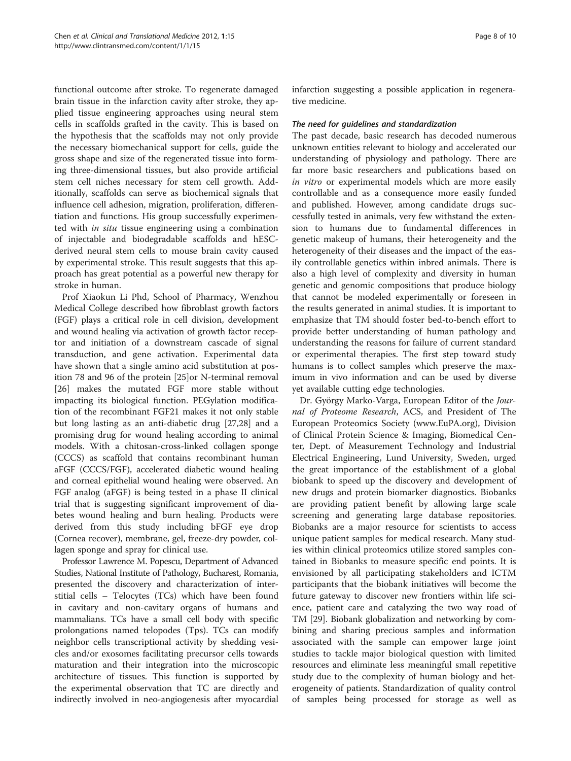functional outcome after stroke. To regenerate damaged brain tissue in the infarction cavity after stroke, they applied tissue engineering approaches using neural stem cells in scaffolds grafted in the cavity. This is based on the hypothesis that the scaffolds may not only provide the necessary biomechanical support for cells, guide the gross shape and size of the regenerated tissue into forming three-dimensional tissues, but also provide artificial stem cell niches necessary for stem cell growth. Additionally, scaffolds can serve as biochemical signals that influence cell adhesion, migration, proliferation, differentiation and functions. His group successfully experimented with in situ tissue engineering using a combination of injectable and biodegradable scaffolds and hESCderived neural stem cells to mouse brain cavity caused by experimental stroke. This result suggests that this approach has great potential as a powerful new therapy for stroke in human.

Prof Xiaokun Li Phd, School of Pharmacy, Wenzhou Medical College described how fibroblast growth factors (FGF) plays a critical role in cell division, development and wound healing via activation of growth factor receptor and initiation of a downstream cascade of signal transduction, and gene activation. Experimental data have shown that a single amino acid substitution at position 78 and 96 of the protein [[25](#page-9-0)]or N-terminal removal [[26\]](#page-9-0) makes the mutated FGF more stable without impacting its biological function. PEGylation modification of the recombinant FGF21 makes it not only stable but long lasting as an anti-diabetic drug [\[27,28\]](#page-9-0) and a promising drug for wound healing according to animal models. With a chitosan-cross-linked collagen sponge (CCCS) as scaffold that contains recombinant human aFGF (CCCS/FGF), accelerated diabetic wound healing and corneal epithelial wound healing were observed. An FGF analog (aFGF) is being tested in a phase II clinical trial that is suggesting significant improvement of diabetes wound healing and burn healing. Products were derived from this study including bFGF eye drop (Cornea recover), membrane, gel, freeze-dry powder, collagen sponge and spray for clinical use.

Professor Lawrence M. Popescu, Department of Advanced Studies, National Institute of Pathology, Bucharest, Romania, presented the discovery and characterization of interstitial cells – Telocytes (TCs) which have been found in cavitary and non-cavitary organs of humans and mammalians. TCs have a small cell body with specific prolongations named telopodes (Tps). TCs can modify neighbor cells transcriptional activity by shedding vesicles and/or exosomes facilitating precursor cells towards maturation and their integration into the microscopic architecture of tissues. This function is supported by the experimental observation that TC are directly and indirectly involved in neo-angiogenesis after myocardial infarction suggesting a possible application in regenerative medicine.

#### The need for guidelines and standardization

The past decade, basic research has decoded numerous unknown entities relevant to biology and accelerated our understanding of physiology and pathology. There are far more basic researchers and publications based on in vitro or experimental models which are more easily controllable and as a consequence more easily funded and published. However, among candidate drugs successfully tested in animals, very few withstand the extension to humans due to fundamental differences in genetic makeup of humans, their heterogeneity and the heterogeneity of their diseases and the impact of the easily controllable genetics within inbred animals. There is also a high level of complexity and diversity in human genetic and genomic compositions that produce biology that cannot be modeled experimentally or foreseen in the results generated in animal studies. It is important to emphasize that TM should foster bed-to-bench effort to provide better understanding of human pathology and understanding the reasons for failure of current standard or experimental therapies. The first step toward study humans is to collect samples which preserve the maximum in vivo information and can be used by diverse yet available cutting edge technologies.

Dr. György Marko-Varga, European Editor of the Journal of Proteome Research, ACS, and President of The European Proteomics Society [\(www.EuPA.org](http://www.EuPA.org)), Division of Clinical Protein Science & Imaging, Biomedical Center, Dept. of Measurement Technology and Industrial Electrical Engineering, Lund University, Sweden, urged the great importance of the establishment of a global biobank to speed up the discovery and development of new drugs and protein biomarker diagnostics. Biobanks are providing patient benefit by allowing large scale screening and generating large database repositories. Biobanks are a major resource for scientists to access unique patient samples for medical research. Many studies within clinical proteomics utilize stored samples contained in Biobanks to measure specific end points. It is envisioned by all participating stakeholders and ICTM participants that the biobank initiatives will become the future gateway to discover new frontiers within life science, patient care and catalyzing the two way road of TM [[29](#page-9-0)]. Biobank globalization and networking by combining and sharing precious samples and information associated with the sample can empower large joint studies to tackle major biological question with limited resources and eliminate less meaningful small repetitive study due to the complexity of human biology and heterogeneity of patients. Standardization of quality control of samples being processed for storage as well as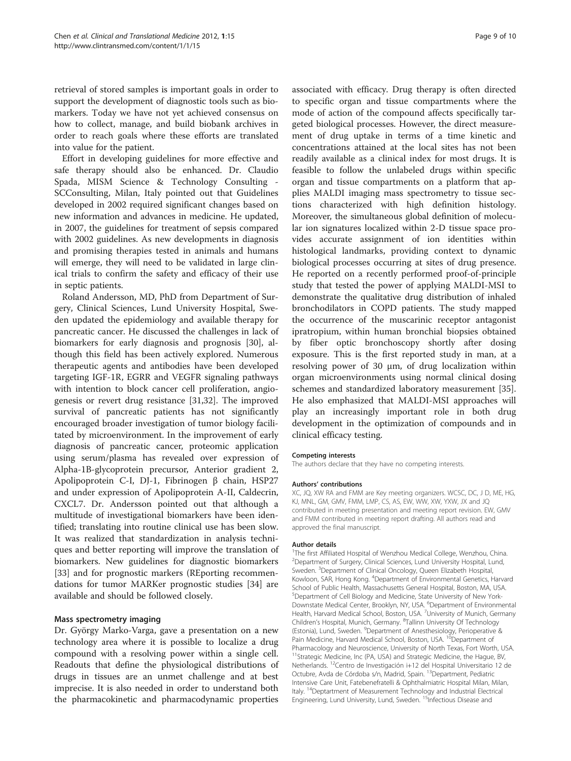retrieval of stored samples is important goals in order to support the development of diagnostic tools such as biomarkers. Today we have not yet achieved consensus on how to collect, manage, and build biobank archives in order to reach goals where these efforts are translated into value for the patient.

Effort in developing guidelines for more effective and safe therapy should also be enhanced. Dr. Claudio Spada, MISM Science & Technology Consulting - SCConsulting, Milan, Italy pointed out that Guidelines developed in 2002 required significant changes based on new information and advances in medicine. He updated, in 2007, the guidelines for treatment of sepsis compared with 2002 guidelines. As new developments in diagnosis and promising therapies tested in animals and humans will emerge, they will need to be validated in large clinical trials to confirm the safety and efficacy of their use in septic patients.

Roland Andersson, MD, PhD from Department of Surgery, Clinical Sciences, Lund University Hospital, Sweden updated the epidemiology and available therapy for pancreatic cancer. He discussed the challenges in lack of biomarkers for early diagnosis and prognosis [[30\]](#page-9-0), although this field has been actively explored. Numerous therapeutic agents and antibodies have been developed targeting IGF-1R, EGRR and VEGFR signaling pathways with intention to block cancer cell proliferation, angiogenesis or revert drug resistance [\[31,32](#page-9-0)]. The improved survival of pancreatic patients has not significantly encouraged broader investigation of tumor biology facilitated by microenvironment. In the improvement of early diagnosis of pancreatic cancer, proteomic application using serum/plasma has revealed over expression of Alpha-1B-glycoprotein precursor, Anterior gradient 2, Apolipoprotein C-I, DJ-1, Fibrinogen β chain, HSP27 and under expression of Apolipoprotein A-II, Caldecrin, CXCL7. Dr. Andersson pointed out that although a multitude of investigational biomarkers have been identified; translating into routine clinical use has been slow. It was realized that standardization in analysis techniques and better reporting will improve the translation of biomarkers. New guidelines for diagnostic biomarkers [[33\]](#page-9-0) and for prognostic markers (REporting recommendations for tumor MARKer prognostic studies [[34\]](#page-9-0) are available and should be followed closely.

#### Mass spectrometry imaging

Dr. György Marko-Varga, gave a presentation on a new technology area where it is possible to localize a drug compound with a resolving power within a single cell. Readouts that define the physiological distributions of drugs in tissues are an unmet challenge and at best imprecise. It is also needed in order to understand both the pharmacokinetic and pharmacodynamic properties

associated with efficacy. Drug therapy is often directed to specific organ and tissue compartments where the mode of action of the compound affects specifically targeted biological processes. However, the direct measurement of drug uptake in terms of a time kinetic and concentrations attained at the local sites has not been readily available as a clinical index for most drugs. It is feasible to follow the unlabeled drugs within specific organ and tissue compartments on a platform that applies MALDI imaging mass spectrometry to tissue sections characterized with high definition histology. Moreover, the simultaneous global definition of molecular ion signatures localized within 2-D tissue space provides accurate assignment of ion identities within histological landmarks, providing context to dynamic biological processes occurring at sites of drug presence. He reported on a recently performed proof-of-principle study that tested the power of applying MALDI-MSI to demonstrate the qualitative drug distribution of inhaled bronchodilators in COPD patients. The study mapped the occurrence of the muscarinic receptor antagonist ipratropium, within human bronchial biopsies obtained by fiber optic bronchoscopy shortly after dosing exposure. This is the first reported study in man, at a resolving power of 30 μm, of drug localization within organ microenvironments using normal clinical dosing schemes and standardized laboratory measurement [\[35](#page-9-0)]. He also emphasized that MALDI-MSI approaches will play an increasingly important role in both drug development in the optimization of compounds and in clinical efficacy testing.

#### Competing interests

The authors declare that they have no competing interests.

#### Authors' contributions

XC, JQ, XW RA and FMM are Key meeting organizers. WCSC, DC, J D, ME, HG, KJ, MNL, GM, GMV, FMM, LMP, CS, AS, EW, WW, XW, YXW, JX and JQ contributed in meeting presentation and meeting report revision. EW, GMV and FMM contributed in meeting report drafting. All authors read and approved the final manuscript.

#### Author details

<sup>1</sup>The first Affiliated Hospital of Wenzhou Medical College, Wenzhou, China. <sup>2</sup>Department of Surgery, Clinical Sciences, Lund University Hospital, Lund, Sweden. <sup>3</sup>Department of Clinical Oncology, Queen Elizabeth Hospital, Kowloon, SAR, Hong Kong. <sup>4</sup>Department of Environmental Genetics, Harvard School of Public Health, Massachusetts General Hospital, Boston, MA, USA. 5 Department of Cell Biology and Medicine, State University of New York-Downstate Medical Center, Brooklyn, NY, USA. <sup>6</sup>Department of Environmental Health, Harvard Medical School, Boston, USA. <sup>7</sup>University of Munich, Germany Children's Hospital, Munich, Germany. <sup>8</sup>Tallinn University Of Technology (Estonia), Lund, Sweden. <sup>9</sup>Department of Anesthesiology, Perioperative & Pain Medicine, Harvard Medical School, Boston, USA. <sup>10</sup>Department of Pharmacology and Neuroscience, University of North Texas, Fort Worth, USA. <sup>11</sup>Strategic Medicine, Inc (PA, USA) and Strategic Medicine, the Hague, BV, Netherlands. <sup>12</sup>Centro de Investigación i+12 del Hospital Universitario 12 de Octubre, Avda de Córdoba s/n, Madrid, Spain. <sup>13</sup>Department, Pediatric Intensive Care Unit, Fatebenefratelli & Ophthalmiatric Hospital Milan, Milan, Italy. 14Deptartment of Measurement Technology and Industrial Electrical Engineering, Lund University, Lund, Sweden. 15Infectious Disease and